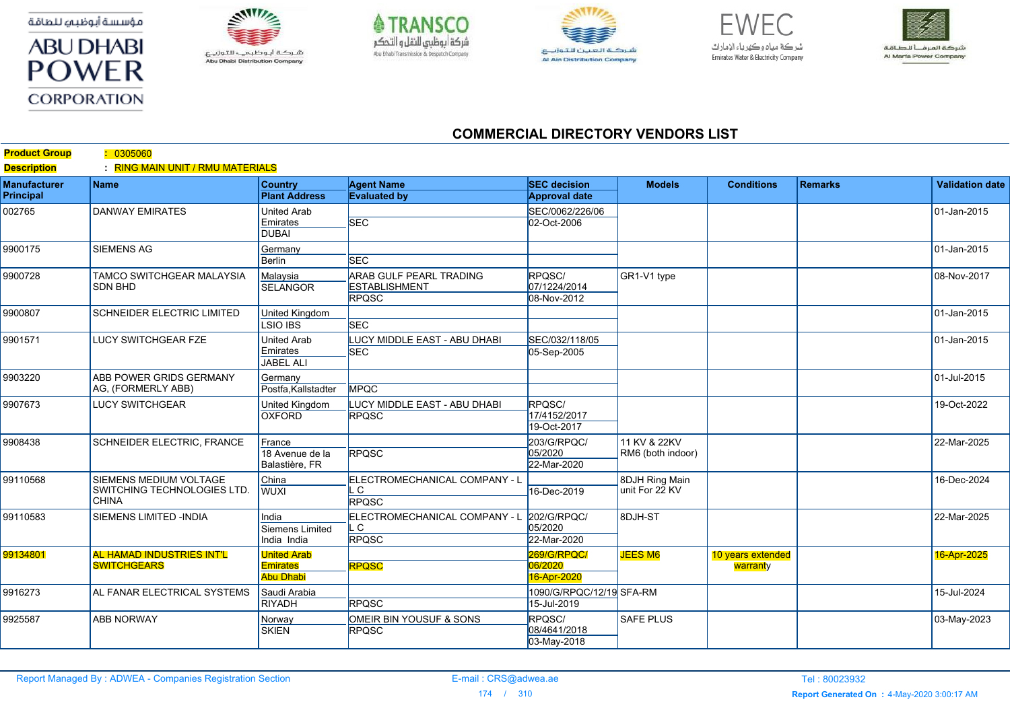مؤسسة أبوظبي للطاقة



**Product Group :** 0305060



Abu Dhabi Distribution Company





 $FIMFC$ شركة مياه وكهرباء الإمارات Emirates Water & Electricity Company



## **COMMERCIAL DIRECTORY VENDORS LIST**

| <b>Product Group</b><br><b>Description</b> | <u>. UJUCUCU .</u><br>: RING MAIN UNIT / RMU MATERIALS                       |                                                           |                                                                        |                                             |                                   |                               |                |                        |
|--------------------------------------------|------------------------------------------------------------------------------|-----------------------------------------------------------|------------------------------------------------------------------------|---------------------------------------------|-----------------------------------|-------------------------------|----------------|------------------------|
| <b>Manufacturer</b><br><b>Principal</b>    | <b>Name</b>                                                                  | <b>Country</b><br><b>Plant Address</b>                    | <b>Agent Name</b><br><b>Evaluated by</b>                               | <b>SEC</b> decision<br><b>Approval date</b> | <b>Models</b>                     | <b>Conditions</b>             | <b>Remarks</b> | <b>Validation date</b> |
| 002765                                     | <b>DANWAY EMIRATES</b>                                                       | <b>United Arab</b><br>Emirates<br><b>DUBAI</b>            | <b>SEC</b>                                                             | SEC/0062/226/06<br>02-Oct-2006              |                                   |                               |                | 01-Jan-2015            |
| 9900175                                    | <b>SIEMENS AG</b>                                                            | Germany<br><b>Berlin</b>                                  | <b>SEC</b>                                                             |                                             |                                   |                               |                | 01-Jan-2015            |
| 9900728                                    | <b>TAMCO SWITCHGEAR MALAYSIA</b><br><b>SDN BHD</b>                           | Malavsia<br><b>SELANGOR</b>                               | <b>ARAB GULF PEARL TRADING</b><br><b>ESTABLISHMENT</b><br><b>RPQSC</b> | RPOSC/<br>07/1224/2014<br>08-Nov-2012       | GR1-V1 type                       |                               |                | 08-Nov-2017            |
| 9900807                                    | <b>SCHNEIDER ELECTRIC LIMITED</b>                                            | <b>United Kingdom</b><br><b>LSIO IBS</b>                  | <b>SEC</b>                                                             |                                             |                                   |                               |                | 01-Jan-2015            |
| 9901571                                    | LUCY SWITCHGEAR FZE                                                          | <b>United Arab</b><br>Emirates<br><b>JABEL ALI</b>        | <b>LUCY MIDDLE EAST - ABU DHABI</b><br><b>SEC</b>                      | SEC/032/118/05<br>05-Sep-2005               |                                   |                               |                | 01-Jan-2015            |
| 9903220                                    | <b>ABB POWER GRIDS GERMANY</b><br>AG, (FORMERLY ABB)                         | Germany<br>Postfa, Kallstadter                            | <b>MPQC</b>                                                            |                                             |                                   |                               |                | 01-Jul-2015            |
| 9907673                                    | <b>LUCY SWITCHGEAR</b>                                                       | <b>United Kingdom</b><br><b>OXFORD</b>                    | LUCY MIDDLE EAST - ABU DHABI<br><b>RPQSC</b>                           | RPQSC/<br>17/4152/2017<br>19-Oct-2017       |                                   |                               |                | 19-Oct-2022            |
| 9908438                                    | <b>SCHNEIDER ELECTRIC, FRANCE</b>                                            | France<br>18 Avenue de la<br>Balastière, FR               | <b>RPQSC</b>                                                           | 203/G/RPQC/<br>05/2020<br>22-Mar-2020       | 11 KV & 22KV<br>RM6 (both indoor) |                               |                | 22-Mar-2025            |
| 99110568                                   | <b>SIEMENS MEDIUM VOLTAGE</b><br>SWITCHING TECHNOLOGIES LTD.<br><b>CHINA</b> | China<br><b>WUXI</b>                                      | ELECTROMECHANICAL COMPANY - L<br>C<br><b>RPQSC</b>                     | 16-Dec-2019                                 | 8DJH Ring Main<br>unit For 22 KV  |                               |                | 16-Dec-2024            |
| 99110583                                   | SIEMENS LIMITED -INDIA                                                       | India<br><b>Siemens Limited</b><br>India India            | ELECTROMECHANICAL COMPANY - L<br>. C<br><b>RPQSC</b>                   | 202/G/RPQC/<br>05/2020<br>22-Mar-2020       | 8DJH-ST                           |                               |                | 22-Mar-2025            |
| 99134801                                   | <b>AL HAMAD INDUSTRIES INT'L</b><br><b>SWITCHGEARS</b>                       | <b>United Arab</b><br><b>Emirates</b><br><b>Abu Dhabi</b> | <b>RPQSC</b>                                                           | 269/G/RPQC/<br>06/2020<br>16-Apr-2020       | <b>JEES M6</b>                    | 10 years extended<br>warranty |                | 16-Apr-2025            |
| 9916273                                    | AL FANAR ELECTRICAL SYSTEMS                                                  | Saudi Arabia<br><b>RIYADH</b>                             | <b>RPOSC</b>                                                           | 1090/G/RPQC/12/19 SFA-RM<br>15-Jul-2019     |                                   |                               |                | 15-Jul-2024            |
| 9925587                                    | <b>ABB NORWAY</b>                                                            | Norway<br><b>SKIEN</b>                                    | OMEIR BIN YOUSUF & SONS<br><b>RPQSC</b>                                | RPQSC/<br>08/4641/2018<br>03-May-2018       | <b>SAFE PLUS</b>                  |                               |                | 03-May-2023            |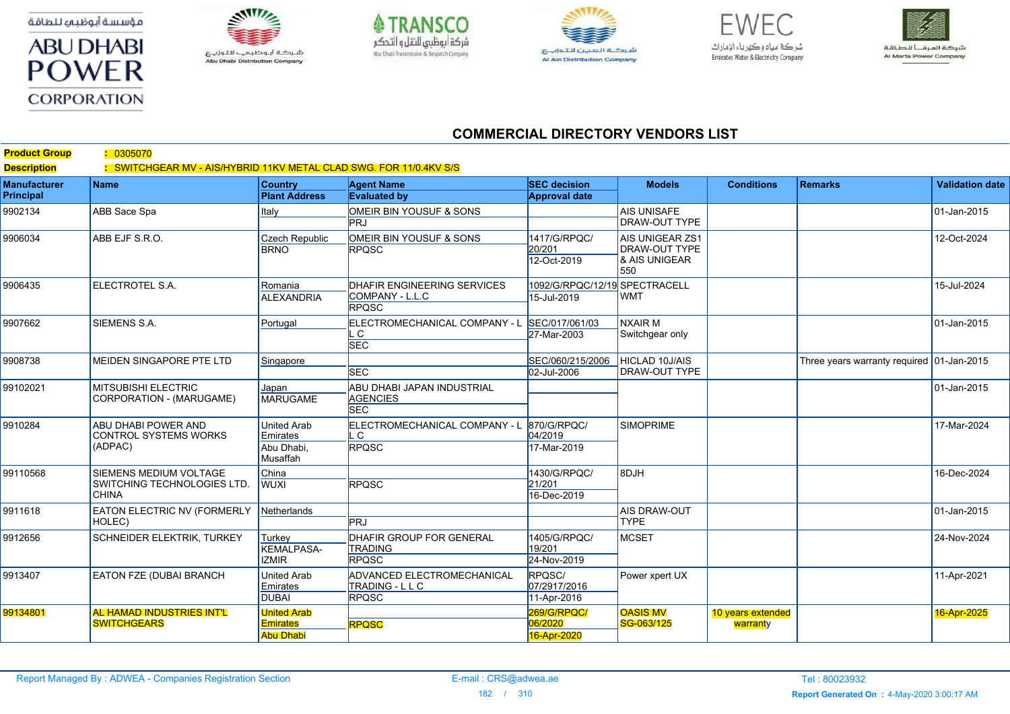مؤسسة أبوظبي للطاقة





Abu Dhabi Distribution Company





 $FIMFC$ شركة مياه وكهرباء الإمارات Emirates Water & Electricity Company



## **COMMERCIAL DIRECTORY VENDORS LIST**

| <b>Product Group</b><br><b>Description</b> | : 0305070<br>: SWITCHGEAR MV - AIS/HYBRID 11KV METAL CLAD SWG. FOR 11/0.4KV S/S |                                        |                                                   |                                             |                                                                        |                               |                                           |                        |
|--------------------------------------------|---------------------------------------------------------------------------------|----------------------------------------|---------------------------------------------------|---------------------------------------------|------------------------------------------------------------------------|-------------------------------|-------------------------------------------|------------------------|
| <b>Manufacturer</b><br>Principal           | <b>Name</b>                                                                     | <b>Country</b><br><b>Plant Address</b> | <b>Agent Name</b><br><b>Evaluated by</b>          | <b>SEC</b> decision<br><b>Approval date</b> | <b>Models</b>                                                          | <b>Conditions</b>             | <b>Remarks</b>                            | <b>Validation date</b> |
| 9902134                                    | ABB Sace Spa                                                                    | Italy                                  | OMEIR BIN YOUSUF & SONS                           |                                             | <b>AIS UNISAFE</b>                                                     |                               |                                           | 01-Jan-2015            |
|                                            |                                                                                 |                                        | PR.I                                              |                                             | <b>DRAW-OUT TYPE</b>                                                   |                               |                                           |                        |
| 9906034                                    | ABB EJF S.R.O.                                                                  | Czech Republic                         | OMEIR BIN YOUSUF & SONS                           | 1417/G/RPQC/                                | <b>AIS UNIGEAR ZS1</b><br><b>DRAW-OUT TYPE</b><br>& AIS UNIGEAR<br>550 |                               |                                           | 12-Oct-2024            |
|                                            |                                                                                 | <b>BRNO</b>                            | <b>RPQSC</b>                                      | 20/201                                      |                                                                        |                               |                                           |                        |
|                                            |                                                                                 |                                        |                                                   | 12-Oct-2019                                 |                                                                        |                               |                                           |                        |
| 9906435                                    | ELECTROTEL S.A.                                                                 | Romania                                | DHAFIR ENGINEERING SERVICES                       | 1092/G/RPQC/12/19 SPECTRACELL               | <b>WMT</b>                                                             |                               |                                           | 15-Jul-2024            |
|                                            |                                                                                 | <b>ALEXANDRIA</b>                      | COMPANY - L.L.C                                   | 15-Jul-2019                                 |                                                                        |                               |                                           |                        |
|                                            |                                                                                 |                                        | <b>RPQSC</b>                                      |                                             |                                                                        |                               |                                           |                        |
| 9907662                                    | SIEMENS S.A.                                                                    | Portugal                               | ELECTROMECHANICAL COMPANY - L                     | SEC/017/061/03                              | <b>NXAIR M</b><br>Switchgear only                                      |                               |                                           | $ 01$ -Jan-2015        |
|                                            |                                                                                 |                                        | . C<br><b>SEC</b>                                 | 27-Mar-2003                                 |                                                                        |                               |                                           |                        |
| 9908738                                    | MEIDEN SINGAPORE PTE LTD                                                        | Singapore                              |                                                   | SEC/060/215/2006                            | <b>HICLAD 10J/AIS</b><br><b>DRAW-OUT TYPE</b>                          |                               | Three years warranty required 01-Jan-2015 |                        |
|                                            |                                                                                 |                                        | <b>SEC</b>                                        | 02-Jul-2006                                 |                                                                        |                               |                                           |                        |
| 99102021                                   | MITSUBISHI ELECTRIC<br>CORPORATION - (MARUGAME)                                 | Japan                                  | ABU DHABI JAPAN INDUSTRIAL                        |                                             |                                                                        |                               |                                           | $ 01$ -Jan-2015        |
|                                            |                                                                                 | <b>MARUGAME</b>                        | <b>AGENCIES</b>                                   |                                             |                                                                        |                               |                                           |                        |
|                                            |                                                                                 |                                        | <b>SEC</b>                                        |                                             |                                                                        |                               |                                           |                        |
| 9910284                                    | ABU DHABI POWER AND<br><b>CONTROL SYSTEMS WORKS</b><br>(ADPAC)                  | <b>United Arab</b>                     | ELECTROMECHANICAL COMPANY - L                     | 870/G/RPQC/                                 | <b>SIMOPRIME</b>                                                       |                               |                                           | 17-Mar-2024            |
|                                            |                                                                                 | Emirates<br>Abu Dhabi,                 | . C<br><b>RPQSC</b>                               | 04/2019<br>17-Mar-2019                      |                                                                        |                               |                                           |                        |
|                                            |                                                                                 | Musaffah                               |                                                   |                                             |                                                                        |                               |                                           |                        |
| 99110568                                   | SIEMENS MEDIUM VOLTAGE<br>SWITCHING TECHNOLOGIES LTD.<br><b>CHINA</b>           | China                                  |                                                   | 1430/G/RPQC/                                | 8DJH                                                                   |                               |                                           | 16-Dec-2024            |
|                                            |                                                                                 | <b>WUXI</b>                            | <b>RPQSC</b>                                      | 21/201                                      |                                                                        |                               |                                           |                        |
|                                            |                                                                                 |                                        |                                                   | 16-Dec-2019                                 |                                                                        |                               |                                           |                        |
| 9911618                                    | EATON ELECTRIC NV (FORMERLY<br>HOLEC)                                           | Netherlands                            | <b>PRJ</b>                                        |                                             | <b>AIS DRAW-OUT</b><br><b>TYPE</b>                                     |                               |                                           | $ 01$ -Jan-2015        |
|                                            |                                                                                 |                                        |                                                   |                                             |                                                                        |                               |                                           |                        |
| 9912656                                    | SCHNEIDER ELEKTRIK, TURKEY                                                      | Turkey<br><b>KEMALPASA-</b>            | <b>DHAFIR GROUP FOR GENERAL</b><br><b>TRADING</b> | 1405/G/RPQC/<br>19/201                      | MCSET                                                                  |                               |                                           | 24-Nov-2024            |
|                                            |                                                                                 | <b>IZMIR</b>                           | <b>RPQSC</b>                                      | 24-Nov-2019                                 |                                                                        |                               |                                           |                        |
| 9913407                                    | EATON FZE (DUBAI BRANCH                                                         | <b>United Arab</b>                     | ADVANCED ELECTROMECHANICAL                        | RPQSC/                                      | Power xpert UX                                                         |                               |                                           | 11-Apr-2021            |
|                                            |                                                                                 | Emirates                               | TRADING - L L C                                   | 07/2917/2016                                |                                                                        |                               |                                           |                        |
|                                            |                                                                                 | <b>DUBAI</b>                           | <b>RPQSC</b>                                      | 11-Apr-2016                                 |                                                                        |                               |                                           |                        |
| 99134801                                   | AL HAMAD INDUSTRIES INT'L<br><b>SWITCHGEARS</b>                                 | <b>United Arab</b><br><b>Emirates</b>  | <b>RPQSC</b>                                      | <b>269/G/RPQC/</b><br>06/2020               | <b>OASIS MV</b><br>SG-063/125                                          | 10 years extended<br>warranty |                                           | 16-Apr-2025            |
|                                            |                                                                                 | <b>Abu Dhabi</b>                       |                                                   | 16-Apr-2020                                 |                                                                        |                               |                                           |                        |
|                                            |                                                                                 |                                        |                                                   |                                             |                                                                        |                               |                                           |                        |